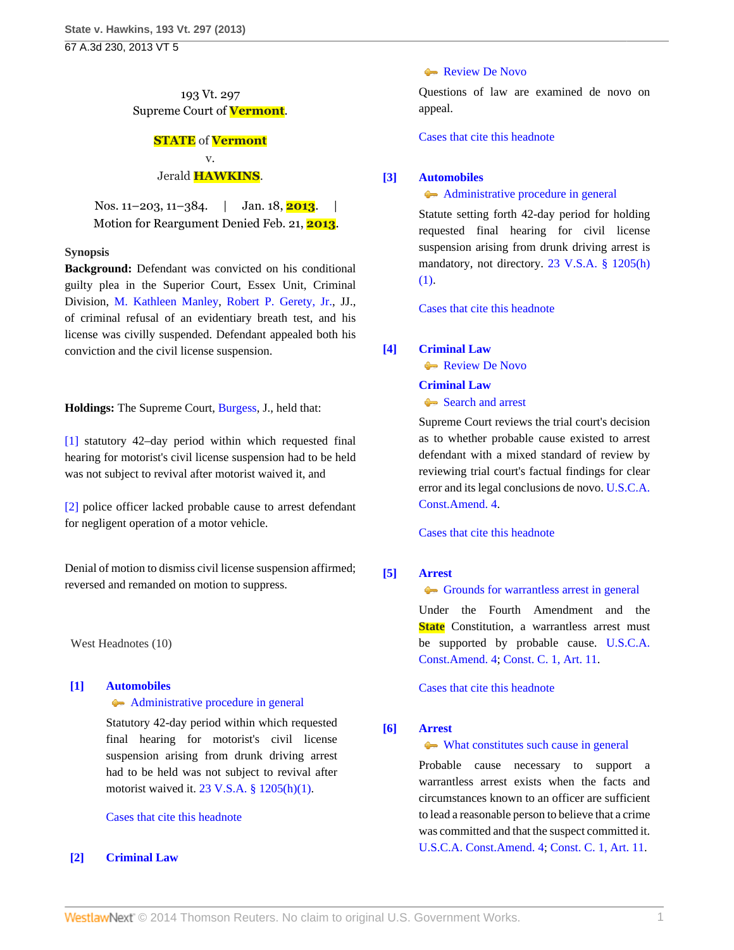## 193 Vt. 297 Supreme Court of **Vermont**.

# **STATE** of **Vermont** v.

#### Jerald **HAWKINS**.

Nos. 11–203, 11–384. | Jan. 18, **2013**. | Motion for Reargument Denied Feb. 21, **2013**.

## **Synopsis**

**Background:** Defendant was convicted on his conditional guilty plea in the Superior Court, Essex Unit, Criminal Division, [M. Kathleen Manley](http://www.westlaw.com/Link/Document/FullText?findType=h&pubNum=176284&cite=0284089704&originatingDoc=I6d233712619211e2900d8cbbe5df030a&refType=RQ&originationContext=document&vr=3.0&rs=cblt1.0&transitionType=DocumentItem&contextData=(sc.Search)), [Robert P. Gerety, Jr.](http://www.westlaw.com/Link/Document/FullText?findType=h&pubNum=176284&cite=0287341603&originatingDoc=I6d233712619211e2900d8cbbe5df030a&refType=RQ&originationContext=document&vr=3.0&rs=cblt1.0&transitionType=DocumentItem&contextData=(sc.Search)), JJ., of criminal refusal of an evidentiary breath test, and his license was civilly suspended. Defendant appealed both his conviction and the civil license suspension.

**Holdings:** The Supreme Court, [Burgess](http://www.westlaw.com/Link/Document/FullText?findType=h&pubNum=176284&cite=0119873701&originatingDoc=I6d233712619211e2900d8cbbe5df030a&refType=RQ&originationContext=document&vr=3.0&rs=cblt1.0&transitionType=DocumentItem&contextData=(sc.Search)), J., held that:

[\[1\]](#page-0-0) statutory 42–day period within which requested final hearing for motorist's civil license suspension had to be held was not subject to revival after motorist waived it, and

[\[2\]](#page-1-0) police officer lacked probable cause to arrest defendant for negligent operation of a motor vehicle.

Denial of motion to dismiss civil license suspension affirmed; reversed and remanded on motion to suppress.

West Headnotes (10)

## <span id="page-0-0"></span>**[\[1\]](#page-3-0) [Automobiles](http://www.westlaw.com/Browse/Home/KeyNumber/48A/View.html?docGuid=I6d233712619211e2900d8cbbe5df030a&originationContext=document&vr=3.0&rs=cblt1.0&transitionType=DocumentItem&contextData=(sc.Search))**

## [Administrative procedure in general](http://www.westlaw.com/Browse/Home/KeyNumber/48Ak144.2(1)/View.html?docGuid=I6d233712619211e2900d8cbbe5df030a&originationContext=document&vr=3.0&rs=cblt1.0&transitionType=DocumentItem&contextData=(sc.Search))

Statutory 42-day period within which requested final hearing for motorist's civil license suspension arising from drunk driving arrest had to be held was not subject to revival after motorist waived it. [23 V.S.A. § 1205\(h\)\(1\).](http://www.westlaw.com/Link/Document/FullText?findType=L&pubNum=1000883&cite=VTST23S1205&originatingDoc=I6d233712619211e2900d8cbbe5df030a&refType=SP&originationContext=document&vr=3.0&rs=cblt1.0&transitionType=DocumentItem&contextData=(sc.Search)#co_pp_b4e500006fdf6)

## [Cases that cite this headnote](http://www.westlaw.com/Link/RelatedInformation/DocHeadnoteLink?docGuid=I6d233712619211e2900d8cbbe5df030a&headnoteId=202967751600120140301042350&originationContext=document&vr=3.0&rs=cblt1.0&transitionType=CitingReferences&contextData=(sc.Search))

## <span id="page-0-1"></span>**[\[2\]](#page-3-1) [Criminal Law](http://www.westlaw.com/Browse/Home/KeyNumber/110/View.html?docGuid=I6d233712619211e2900d8cbbe5df030a&originationContext=document&vr=3.0&rs=cblt1.0&transitionType=DocumentItem&contextData=(sc.Search))**

#### [Review De Novo](http://www.westlaw.com/Browse/Home/KeyNumber/110XXIV(L)13/View.html?docGuid=I6d233712619211e2900d8cbbe5df030a&originationContext=document&vr=3.0&rs=cblt1.0&transitionType=DocumentItem&contextData=(sc.Search))

Questions of law are examined de novo on appeal.

[Cases that cite this headnote](http://www.westlaw.com/Link/RelatedInformation/DocHeadnoteLink?docGuid=I6d233712619211e2900d8cbbe5df030a&headnoteId=202967751600220140301042350&originationContext=document&vr=3.0&rs=cblt1.0&transitionType=CitingReferences&contextData=(sc.Search))

## <span id="page-0-2"></span>**[\[3\]](#page-3-2) [Automobiles](http://www.westlaw.com/Browse/Home/KeyNumber/48A/View.html?docGuid=I6d233712619211e2900d8cbbe5df030a&originationContext=document&vr=3.0&rs=cblt1.0&transitionType=DocumentItem&contextData=(sc.Search))**

### [Administrative procedure in general](http://www.westlaw.com/Browse/Home/KeyNumber/48Ak144.2(1)/View.html?docGuid=I6d233712619211e2900d8cbbe5df030a&originationContext=document&vr=3.0&rs=cblt1.0&transitionType=DocumentItem&contextData=(sc.Search))

Statute setting forth 42-day period for holding requested final hearing for civil license suspension arising from drunk driving arrest is mandatory, not directory. [23 V.S.A. § 1205\(h\)](http://www.westlaw.com/Link/Document/FullText?findType=L&pubNum=1000883&cite=VTST23S1205&originatingDoc=I6d233712619211e2900d8cbbe5df030a&refType=SP&originationContext=document&vr=3.0&rs=cblt1.0&transitionType=DocumentItem&contextData=(sc.Search)#co_pp_b4e500006fdf6) [\(1\)](http://www.westlaw.com/Link/Document/FullText?findType=L&pubNum=1000883&cite=VTST23S1205&originatingDoc=I6d233712619211e2900d8cbbe5df030a&refType=SP&originationContext=document&vr=3.0&rs=cblt1.0&transitionType=DocumentItem&contextData=(sc.Search)#co_pp_b4e500006fdf6).

[Cases that cite this headnote](http://www.westlaw.com/Link/RelatedInformation/DocHeadnoteLink?docGuid=I6d233712619211e2900d8cbbe5df030a&headnoteId=202967751600320140301042350&originationContext=document&vr=3.0&rs=cblt1.0&transitionType=CitingReferences&contextData=(sc.Search))

## <span id="page-0-3"></span>**[\[4\]](#page-3-3) [Criminal Law](http://www.westlaw.com/Browse/Home/KeyNumber/110/View.html?docGuid=I6d233712619211e2900d8cbbe5df030a&originationContext=document&vr=3.0&rs=cblt1.0&transitionType=DocumentItem&contextData=(sc.Search))**

[Review De Novo](http://www.westlaw.com/Browse/Home/KeyNumber/110XXIV(L)13/View.html?docGuid=I6d233712619211e2900d8cbbe5df030a&originationContext=document&vr=3.0&rs=cblt1.0&transitionType=DocumentItem&contextData=(sc.Search))

## **[Criminal Law](http://www.westlaw.com/Browse/Home/KeyNumber/110/View.html?docGuid=I6d233712619211e2900d8cbbe5df030a&originationContext=document&vr=3.0&rs=cblt1.0&transitionType=DocumentItem&contextData=(sc.Search))**

#### [Search and arrest](http://www.westlaw.com/Browse/Home/KeyNumber/110k1158.2/View.html?docGuid=I6d233712619211e2900d8cbbe5df030a&originationContext=document&vr=3.0&rs=cblt1.0&transitionType=DocumentItem&contextData=(sc.Search))

Supreme Court reviews the trial court's decision as to whether probable cause existed to arrest defendant with a mixed standard of review by reviewing trial court's factual findings for clear error and its legal conclusions de novo. [U.S.C.A.](http://www.westlaw.com/Link/Document/FullText?findType=L&pubNum=1000546&cite=USCOAMENDIV&originatingDoc=I6d233712619211e2900d8cbbe5df030a&refType=LQ&originationContext=document&vr=3.0&rs=cblt1.0&transitionType=DocumentItem&contextData=(sc.Search)) [Const.Amend. 4.](http://www.westlaw.com/Link/Document/FullText?findType=L&pubNum=1000546&cite=USCOAMENDIV&originatingDoc=I6d233712619211e2900d8cbbe5df030a&refType=LQ&originationContext=document&vr=3.0&rs=cblt1.0&transitionType=DocumentItem&contextData=(sc.Search))

[Cases that cite this headnote](http://www.westlaw.com/Link/RelatedInformation/DocHeadnoteLink?docGuid=I6d233712619211e2900d8cbbe5df030a&headnoteId=202967751600420140301042350&originationContext=document&vr=3.0&rs=cblt1.0&transitionType=CitingReferences&contextData=(sc.Search))

## <span id="page-0-4"></span>**[\[5\]](#page-4-0) [Arrest](http://www.westlaw.com/Browse/Home/KeyNumber/35/View.html?docGuid=I6d233712619211e2900d8cbbe5df030a&originationContext=document&vr=3.0&rs=cblt1.0&transitionType=DocumentItem&contextData=(sc.Search))**

#### [Grounds for warrantless arrest in general](http://www.westlaw.com/Browse/Home/KeyNumber/35k63.4(1)/View.html?docGuid=I6d233712619211e2900d8cbbe5df030a&originationContext=document&vr=3.0&rs=cblt1.0&transitionType=DocumentItem&contextData=(sc.Search))

Under the Fourth Amendment and the **State** Constitution, a warrantless arrest must be supported by probable cause. [U.S.C.A.](http://www.westlaw.com/Link/Document/FullText?findType=L&pubNum=1000546&cite=USCOAMENDIV&originatingDoc=I6d233712619211e2900d8cbbe5df030a&refType=LQ&originationContext=document&vr=3.0&rs=cblt1.0&transitionType=DocumentItem&contextData=(sc.Search)) [Const.Amend. 4;](http://www.westlaw.com/Link/Document/FullText?findType=L&pubNum=1000546&cite=USCOAMENDIV&originatingDoc=I6d233712619211e2900d8cbbe5df030a&refType=LQ&originationContext=document&vr=3.0&rs=cblt1.0&transitionType=DocumentItem&contextData=(sc.Search)) [Const. C. 1, Art. 11](http://www.westlaw.com/Link/Document/FullText?findType=L&pubNum=1000883&cite=VTCNCIART11&originatingDoc=I6d233712619211e2900d8cbbe5df030a&refType=LQ&originationContext=document&vr=3.0&rs=cblt1.0&transitionType=DocumentItem&contextData=(sc.Search)).

[Cases that cite this headnote](http://www.westlaw.com/Link/RelatedInformation/DocHeadnoteLink?docGuid=I6d233712619211e2900d8cbbe5df030a&headnoteId=202967751600520140301042350&originationContext=document&vr=3.0&rs=cblt1.0&transitionType=CitingReferences&contextData=(sc.Search))

## <span id="page-0-5"></span>**[\[6\]](#page-4-1) [Arrest](http://www.westlaw.com/Browse/Home/KeyNumber/35/View.html?docGuid=I6d233712619211e2900d8cbbe5df030a&originationContext=document&vr=3.0&rs=cblt1.0&transitionType=DocumentItem&contextData=(sc.Search))**

## [What constitutes such cause in general](http://www.westlaw.com/Browse/Home/KeyNumber/35k63.4(2)/View.html?docGuid=I6d233712619211e2900d8cbbe5df030a&originationContext=document&vr=3.0&rs=cblt1.0&transitionType=DocumentItem&contextData=(sc.Search))

Probable cause necessary to support a warrantless arrest exists when the facts and circumstances known to an officer are sufficient to lead a reasonable person to believe that a crime was committed and that the suspect committed it. [U.S.C.A. Const.Amend. 4;](http://www.westlaw.com/Link/Document/FullText?findType=L&pubNum=1000546&cite=USCOAMENDIV&originatingDoc=I6d233712619211e2900d8cbbe5df030a&refType=LQ&originationContext=document&vr=3.0&rs=cblt1.0&transitionType=DocumentItem&contextData=(sc.Search)) [Const. C. 1, Art. 11.](http://www.westlaw.com/Link/Document/FullText?findType=L&pubNum=1000883&cite=VTCNCIART11&originatingDoc=I6d233712619211e2900d8cbbe5df030a&refType=LQ&originationContext=document&vr=3.0&rs=cblt1.0&transitionType=DocumentItem&contextData=(sc.Search))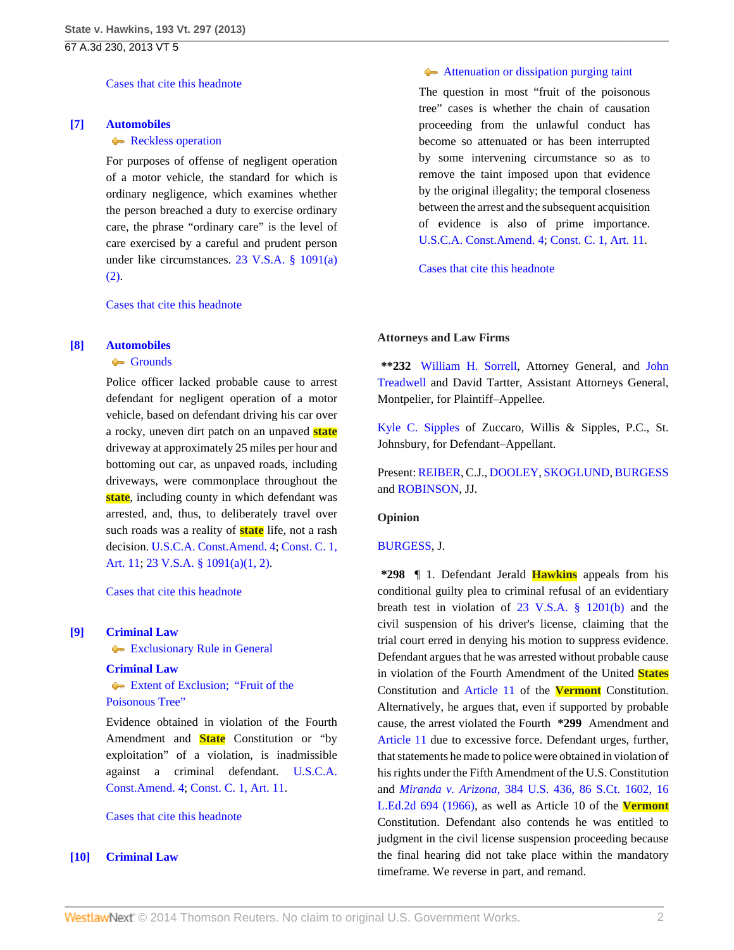[Cases that cite this headnote](http://www.westlaw.com/Link/RelatedInformation/DocHeadnoteLink?docGuid=I6d233712619211e2900d8cbbe5df030a&headnoteId=202967751600620140301042350&originationContext=document&vr=3.0&rs=cblt1.0&transitionType=CitingReferences&contextData=(sc.Search))

#### <span id="page-1-1"></span>**[\[7\]](#page-4-2) [Automobiles](http://www.westlaw.com/Browse/Home/KeyNumber/48A/View.html?docGuid=I6d233712619211e2900d8cbbe5df030a&originationContext=document&vr=3.0&rs=cblt1.0&transitionType=DocumentItem&contextData=(sc.Search))**

#### [Reckless operation](http://www.westlaw.com/Browse/Home/KeyNumber/48Ak330/View.html?docGuid=I6d233712619211e2900d8cbbe5df030a&originationContext=document&vr=3.0&rs=cblt1.0&transitionType=DocumentItem&contextData=(sc.Search))

For purposes of offense of negligent operation of a motor vehicle, the standard for which is ordinary negligence, which examines whether the person breached a duty to exercise ordinary care, the phrase "ordinary care" is the level of care exercised by a careful and prudent person under like circumstances. [23 V.S.A. § 1091\(a\)](http://www.westlaw.com/Link/Document/FullText?findType=L&pubNum=1000883&cite=VTST23S1091&originatingDoc=I6d233712619211e2900d8cbbe5df030a&refType=SP&originationContext=document&vr=3.0&rs=cblt1.0&transitionType=DocumentItem&contextData=(sc.Search)#co_pp_d86d0000be040) [\(2\)](http://www.westlaw.com/Link/Document/FullText?findType=L&pubNum=1000883&cite=VTST23S1091&originatingDoc=I6d233712619211e2900d8cbbe5df030a&refType=SP&originationContext=document&vr=3.0&rs=cblt1.0&transitionType=DocumentItem&contextData=(sc.Search)#co_pp_d86d0000be040).

[Cases that cite this headnote](http://www.westlaw.com/Link/RelatedInformation/DocHeadnoteLink?docGuid=I6d233712619211e2900d8cbbe5df030a&headnoteId=202967751600720140301042350&originationContext=document&vr=3.0&rs=cblt1.0&transitionType=CitingReferences&contextData=(sc.Search))

#### <span id="page-1-0"></span>**[\[8\]](#page-4-3) [Automobiles](http://www.westlaw.com/Browse/Home/KeyNumber/48A/View.html?docGuid=I6d233712619211e2900d8cbbe5df030a&originationContext=document&vr=3.0&rs=cblt1.0&transitionType=DocumentItem&contextData=(sc.Search))**

#### [Grounds](http://www.westlaw.com/Browse/Home/KeyNumber/48Ak349(2)/View.html?docGuid=I6d233712619211e2900d8cbbe5df030a&originationContext=document&vr=3.0&rs=cblt1.0&transitionType=DocumentItem&contextData=(sc.Search))

Police officer lacked probable cause to arrest defendant for negligent operation of a motor vehicle, based on defendant driving his car over a rocky, uneven dirt patch on an unpaved **state** driveway at approximately 25 miles per hour and bottoming out car, as unpaved roads, including driveways, were commonplace throughout the **state**, including county in which defendant was arrested, and, thus, to deliberately travel over such roads was a reality of **state** life, not a rash decision. [U.S.C.A. Const.Amend. 4;](http://www.westlaw.com/Link/Document/FullText?findType=L&pubNum=1000546&cite=USCOAMENDIV&originatingDoc=I6d233712619211e2900d8cbbe5df030a&refType=LQ&originationContext=document&vr=3.0&rs=cblt1.0&transitionType=DocumentItem&contextData=(sc.Search)) [Const. C. 1,](http://www.westlaw.com/Link/Document/FullText?findType=L&pubNum=1000883&cite=VTCNCIART11&originatingDoc=I6d233712619211e2900d8cbbe5df030a&refType=LQ&originationContext=document&vr=3.0&rs=cblt1.0&transitionType=DocumentItem&contextData=(sc.Search)) [Art. 11;](http://www.westlaw.com/Link/Document/FullText?findType=L&pubNum=1000883&cite=VTCNCIART11&originatingDoc=I6d233712619211e2900d8cbbe5df030a&refType=LQ&originationContext=document&vr=3.0&rs=cblt1.0&transitionType=DocumentItem&contextData=(sc.Search)) [23 V.S.A. § 1091\(a\)\(1, 2\).](http://www.westlaw.com/Link/Document/FullText?findType=L&pubNum=1000883&cite=VTST23S1091&originatingDoc=I6d233712619211e2900d8cbbe5df030a&refType=SP&originationContext=document&vr=3.0&rs=cblt1.0&transitionType=DocumentItem&contextData=(sc.Search)#co_pp_8b3b0000958a4)

[Cases that cite this headnote](http://www.westlaw.com/Link/RelatedInformation/DocHeadnoteLink?docGuid=I6d233712619211e2900d8cbbe5df030a&headnoteId=202967751600820140301042350&originationContext=document&vr=3.0&rs=cblt1.0&transitionType=CitingReferences&contextData=(sc.Search))

#### <span id="page-1-2"></span>**[\[9\]](#page-4-4) [Criminal Law](http://www.westlaw.com/Browse/Home/KeyNumber/110/View.html?docGuid=I6d233712619211e2900d8cbbe5df030a&originationContext=document&vr=3.0&rs=cblt1.0&transitionType=DocumentItem&contextData=(sc.Search))**

[Exclusionary Rule in General](http://www.westlaw.com/Browse/Home/KeyNumber/110k392.4/View.html?docGuid=I6d233712619211e2900d8cbbe5df030a&originationContext=document&vr=3.0&rs=cblt1.0&transitionType=DocumentItem&contextData=(sc.Search))

### **[Criminal Law](http://www.westlaw.com/Browse/Home/KeyNumber/110/View.html?docGuid=I6d233712619211e2900d8cbbe5df030a&originationContext=document&vr=3.0&rs=cblt1.0&transitionType=DocumentItem&contextData=(sc.Search))**

[Extent of Exclusion; "Fruit of the](http://www.westlaw.com/Browse/Home/KeyNumber/110k392.39/View.html?docGuid=I6d233712619211e2900d8cbbe5df030a&originationContext=document&vr=3.0&rs=cblt1.0&transitionType=DocumentItem&contextData=(sc.Search)) [Poisonous Tree"](http://www.westlaw.com/Browse/Home/KeyNumber/110k392.39/View.html?docGuid=I6d233712619211e2900d8cbbe5df030a&originationContext=document&vr=3.0&rs=cblt1.0&transitionType=DocumentItem&contextData=(sc.Search))

Evidence obtained in violation of the Fourth Amendment and **State** Constitution or "by exploitation" of a violation, is inadmissible against a criminal defendant. [U.S.C.A.](http://www.westlaw.com/Link/Document/FullText?findType=L&pubNum=1000546&cite=USCOAMENDIV&originatingDoc=I6d233712619211e2900d8cbbe5df030a&refType=LQ&originationContext=document&vr=3.0&rs=cblt1.0&transitionType=DocumentItem&contextData=(sc.Search)) [Const.Amend. 4;](http://www.westlaw.com/Link/Document/FullText?findType=L&pubNum=1000546&cite=USCOAMENDIV&originatingDoc=I6d233712619211e2900d8cbbe5df030a&refType=LQ&originationContext=document&vr=3.0&rs=cblt1.0&transitionType=DocumentItem&contextData=(sc.Search)) [Const. C. 1, Art. 11](http://www.westlaw.com/Link/Document/FullText?findType=L&pubNum=1000883&cite=VTCNCIART11&originatingDoc=I6d233712619211e2900d8cbbe5df030a&refType=LQ&originationContext=document&vr=3.0&rs=cblt1.0&transitionType=DocumentItem&contextData=(sc.Search)).

#### [Cases that cite this headnote](http://www.westlaw.com/Link/RelatedInformation/DocHeadnoteLink?docGuid=I6d233712619211e2900d8cbbe5df030a&headnoteId=202967751600920140301042350&originationContext=document&vr=3.0&rs=cblt1.0&transitionType=CitingReferences&contextData=(sc.Search))

## <span id="page-1-3"></span>**[\[10\]](#page-5-0) [Criminal Law](http://www.westlaw.com/Browse/Home/KeyNumber/110/View.html?docGuid=I6d233712619211e2900d8cbbe5df030a&originationContext=document&vr=3.0&rs=cblt1.0&transitionType=DocumentItem&contextData=(sc.Search))**

#### [Attenuation or dissipation purging taint](http://www.westlaw.com/Browse/Home/KeyNumber/110k392.39(10)/View.html?docGuid=I6d233712619211e2900d8cbbe5df030a&originationContext=document&vr=3.0&rs=cblt1.0&transitionType=DocumentItem&contextData=(sc.Search))

The question in most "fruit of the poisonous tree" cases is whether the chain of causation proceeding from the unlawful conduct has become so attenuated or has been interrupted by some intervening circumstance so as to remove the taint imposed upon that evidence by the original illegality; the temporal closeness between the arrest and the subsequent acquisition of evidence is also of prime importance. [U.S.C.A. Const.Amend. 4;](http://www.westlaw.com/Link/Document/FullText?findType=L&pubNum=1000546&cite=USCOAMENDIV&originatingDoc=I6d233712619211e2900d8cbbe5df030a&refType=LQ&originationContext=document&vr=3.0&rs=cblt1.0&transitionType=DocumentItem&contextData=(sc.Search)) [Const. C. 1, Art. 11.](http://www.westlaw.com/Link/Document/FullText?findType=L&pubNum=1000883&cite=VTCNCIART11&originatingDoc=I6d233712619211e2900d8cbbe5df030a&refType=LQ&originationContext=document&vr=3.0&rs=cblt1.0&transitionType=DocumentItem&contextData=(sc.Search))

[Cases that cite this headnote](http://www.westlaw.com/Link/RelatedInformation/DocHeadnoteLink?docGuid=I6d233712619211e2900d8cbbe5df030a&headnoteId=202967751601020140301042350&originationContext=document&vr=3.0&rs=cblt1.0&transitionType=CitingReferences&contextData=(sc.Search))

#### **Attorneys and Law Firms**

**\*\*232** [William H. Sorrell](http://www.westlaw.com/Link/Document/FullText?findType=h&pubNum=176284&cite=0117737001&originatingDoc=I6d233712619211e2900d8cbbe5df030a&refType=RQ&originationContext=document&vr=3.0&rs=cblt1.0&transitionType=DocumentItem&contextData=(sc.Search)), Attorney General, and [John](http://www.westlaw.com/Link/Document/FullText?findType=h&pubNum=176284&cite=0287381001&originatingDoc=I6d233712619211e2900d8cbbe5df030a&refType=RQ&originationContext=document&vr=3.0&rs=cblt1.0&transitionType=DocumentItem&contextData=(sc.Search)) [Treadwell](http://www.westlaw.com/Link/Document/FullText?findType=h&pubNum=176284&cite=0287381001&originatingDoc=I6d233712619211e2900d8cbbe5df030a&refType=RQ&originationContext=document&vr=3.0&rs=cblt1.0&transitionType=DocumentItem&contextData=(sc.Search)) and David Tartter, Assistant Attorneys General, Montpelier, for Plaintiff–Appellee.

[Kyle C. Sipples](http://www.westlaw.com/Link/Document/FullText?findType=h&pubNum=176284&cite=0205359501&originatingDoc=I6d233712619211e2900d8cbbe5df030a&refType=RQ&originationContext=document&vr=3.0&rs=cblt1.0&transitionType=DocumentItem&contextData=(sc.Search)) of Zuccaro, Willis & Sipples, P.C., St. Johnsbury, for Defendant–Appellant.

Present: [REIBER](http://www.westlaw.com/Link/Document/FullText?findType=h&pubNum=176284&cite=0141970501&originatingDoc=I6d233712619211e2900d8cbbe5df030a&refType=RQ&originationContext=document&vr=3.0&rs=cblt1.0&transitionType=DocumentItem&contextData=(sc.Search)), C.J., [DOOLEY,](http://www.westlaw.com/Link/Document/FullText?findType=h&pubNum=176284&cite=0264531601&originatingDoc=I6d233712619211e2900d8cbbe5df030a&refType=RQ&originationContext=document&vr=3.0&rs=cblt1.0&transitionType=DocumentItem&contextData=(sc.Search)) [SKOGLUND,](http://www.westlaw.com/Link/Document/FullText?findType=h&pubNum=176284&cite=0197190101&originatingDoc=I6d233712619211e2900d8cbbe5df030a&refType=RQ&originationContext=document&vr=3.0&rs=cblt1.0&transitionType=DocumentItem&contextData=(sc.Search)) [BURGESS](http://www.westlaw.com/Link/Document/FullText?findType=h&pubNum=176284&cite=0119873701&originatingDoc=I6d233712619211e2900d8cbbe5df030a&refType=RQ&originationContext=document&vr=3.0&rs=cblt1.0&transitionType=DocumentItem&contextData=(sc.Search)) and [ROBINSON](http://www.westlaw.com/Link/Document/FullText?findType=h&pubNum=176284&cite=0175240301&originatingDoc=I6d233712619211e2900d8cbbe5df030a&refType=RQ&originationContext=document&vr=3.0&rs=cblt1.0&transitionType=DocumentItem&contextData=(sc.Search)), JJ.

#### **Opinion**

## [BURGESS](http://www.westlaw.com/Link/Document/FullText?findType=h&pubNum=176284&cite=0119873701&originatingDoc=I6d233712619211e2900d8cbbe5df030a&refType=RQ&originationContext=document&vr=3.0&rs=cblt1.0&transitionType=DocumentItem&contextData=(sc.Search)), J.

**\*298** ¶ 1. Defendant Jerald **Hawkins** appeals from his conditional guilty plea to criminal refusal of an evidentiary breath test in violation of [23 V.S.A. § 1201\(b\)](http://www.westlaw.com/Link/Document/FullText?findType=L&pubNum=1000883&cite=VTST23S1201&originatingDoc=I6d233712619211e2900d8cbbe5df030a&refType=SP&originationContext=document&vr=3.0&rs=cblt1.0&transitionType=DocumentItem&contextData=(sc.Search)#co_pp_a83b000018c76) and the civil suspension of his driver's license, claiming that the trial court erred in denying his motion to suppress evidence. Defendant argues that he was arrested without probable cause in violation of the Fourth Amendment of the United **States** Constitution and [Article 11](http://www.westlaw.com/Link/Document/FullText?findType=L&pubNum=1000883&cite=VTCNCIART11&originatingDoc=I6d233712619211e2900d8cbbe5df030a&refType=LQ&originationContext=document&vr=3.0&rs=cblt1.0&transitionType=DocumentItem&contextData=(sc.Search)) of the **Vermont** Constitution. Alternatively, he argues that, even if supported by probable cause, the arrest violated the Fourth **\*299** Amendment and [Article 11](http://www.westlaw.com/Link/Document/FullText?findType=L&pubNum=1000883&cite=VTCNCIART11&originatingDoc=I6d233712619211e2900d8cbbe5df030a&refType=LQ&originationContext=document&vr=3.0&rs=cblt1.0&transitionType=DocumentItem&contextData=(sc.Search)) due to excessive force. Defendant urges, further, that statements he made to police were obtained in violation of his rights under the Fifth Amendment of the U.S. Constitution and *Miranda v. Arizona,* [384 U.S. 436, 86 S.Ct. 1602, 16](http://www.westlaw.com/Link/Document/FullText?findType=Y&serNum=1966131580&pubNum=708&originationContext=document&vr=3.0&rs=cblt1.0&transitionType=DocumentItem&contextData=(sc.Search)) [L.Ed.2d 694 \(1966\)](http://www.westlaw.com/Link/Document/FullText?findType=Y&serNum=1966131580&pubNum=708&originationContext=document&vr=3.0&rs=cblt1.0&transitionType=DocumentItem&contextData=(sc.Search)), as well as Article 10 of the **Vermont** Constitution. Defendant also contends he was entitled to judgment in the civil license suspension proceeding because the final hearing did not take place within the mandatory timeframe. We reverse in part, and remand.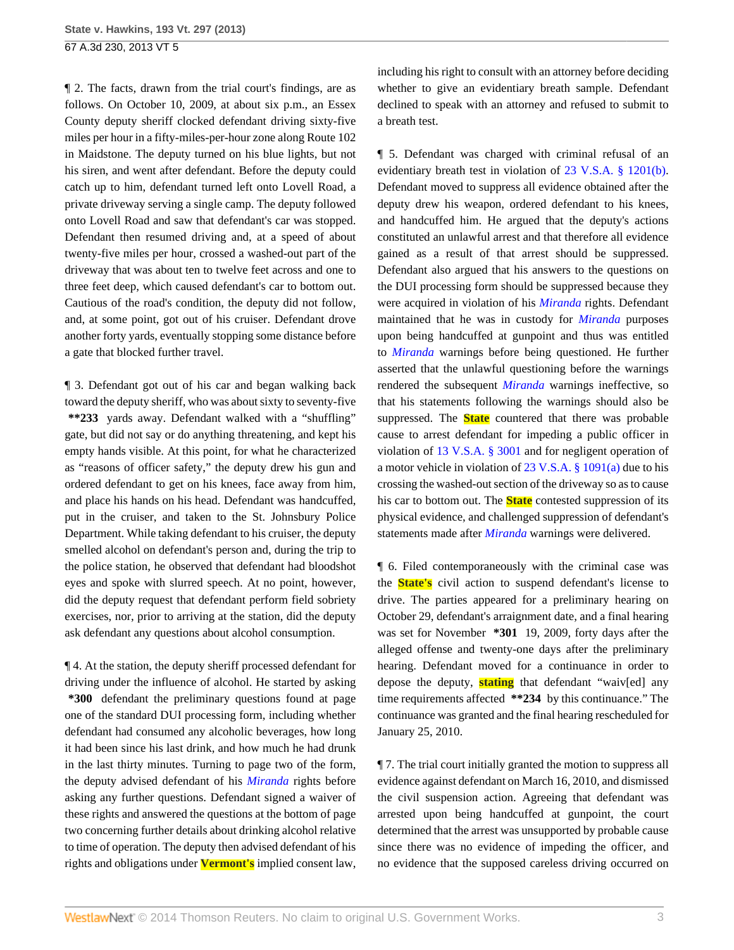¶ 2. The facts, drawn from the trial court's findings, are as follows. On October 10, 2009, at about six p.m., an Essex County deputy sheriff clocked defendant driving sixty-five miles per hour in a fifty-miles-per-hour zone along Route 102 in Maidstone. The deputy turned on his blue lights, but not his siren, and went after defendant. Before the deputy could catch up to him, defendant turned left onto Lovell Road, a private driveway serving a single camp. The deputy followed onto Lovell Road and saw that defendant's car was stopped. Defendant then resumed driving and, at a speed of about twenty-five miles per hour, crossed a washed-out part of the driveway that was about ten to twelve feet across and one to three feet deep, which caused defendant's car to bottom out. Cautious of the road's condition, the deputy did not follow, and, at some point, got out of his cruiser. Defendant drove another forty yards, eventually stopping some distance before a gate that blocked further travel.

¶ 3. Defendant got out of his car and began walking back toward the deputy sheriff, who was about sixty to seventy-five **\*\*233** yards away. Defendant walked with a "shuffling" gate, but did not say or do anything threatening, and kept his empty hands visible. At this point, for what he characterized as "reasons of officer safety," the deputy drew his gun and ordered defendant to get on his knees, face away from him, and place his hands on his head. Defendant was handcuffed, put in the cruiser, and taken to the St. Johnsbury Police Department. While taking defendant to his cruiser, the deputy smelled alcohol on defendant's person and, during the trip to the police station, he observed that defendant had bloodshot eyes and spoke with slurred speech. At no point, however, did the deputy request that defendant perform field sobriety exercises, nor, prior to arriving at the station, did the deputy ask defendant any questions about alcohol consumption.

¶ 4. At the station, the deputy sheriff processed defendant for driving under the influence of alcohol. He started by asking **\*300** defendant the preliminary questions found at page one of the standard DUI processing form, including whether defendant had consumed any alcoholic beverages, how long it had been since his last drink, and how much he had drunk in the last thirty minutes. Turning to page two of the form, the deputy advised defendant of his *[Miranda](http://www.westlaw.com/Link/Document/FullText?findType=Y&serNum=1966131580&originationContext=document&vr=3.0&rs=cblt1.0&transitionType=DocumentItem&contextData=(sc.Search))* rights before asking any further questions. Defendant signed a waiver of these rights and answered the questions at the bottom of page two concerning further details about drinking alcohol relative to time of operation. The deputy then advised defendant of his rights and obligations under **Vermont's** implied consent law, including his right to consult with an attorney before deciding whether to give an evidentiary breath sample. Defendant declined to speak with an attorney and refused to submit to a breath test.

¶ 5. Defendant was charged with criminal refusal of an evidentiary breath test in violation of [23 V.S.A. § 1201\(b\)](http://www.westlaw.com/Link/Document/FullText?findType=L&pubNum=1000883&cite=VTST23S1201&originatingDoc=I6d233712619211e2900d8cbbe5df030a&refType=SP&originationContext=document&vr=3.0&rs=cblt1.0&transitionType=DocumentItem&contextData=(sc.Search)#co_pp_a83b000018c76). Defendant moved to suppress all evidence obtained after the deputy drew his weapon, ordered defendant to his knees, and handcuffed him. He argued that the deputy's actions constituted an unlawful arrest and that therefore all evidence gained as a result of that arrest should be suppressed. Defendant also argued that his answers to the questions on the DUI processing form should be suppressed because they were acquired in violation of his *[Miranda](http://www.westlaw.com/Link/Document/FullText?findType=Y&serNum=1966131580&originationContext=document&vr=3.0&rs=cblt1.0&transitionType=DocumentItem&contextData=(sc.Search))* rights. Defendant maintained that he was in custody for *[Miranda](http://www.westlaw.com/Link/Document/FullText?findType=Y&serNum=1966131580&originationContext=document&vr=3.0&rs=cblt1.0&transitionType=DocumentItem&contextData=(sc.Search))* purposes upon being handcuffed at gunpoint and thus was entitled to *[Miranda](http://www.westlaw.com/Link/Document/FullText?findType=Y&serNum=1966131580&originationContext=document&vr=3.0&rs=cblt1.0&transitionType=DocumentItem&contextData=(sc.Search))* warnings before being questioned. He further asserted that the unlawful questioning before the warnings rendered the subsequent *[Miranda](http://www.westlaw.com/Link/Document/FullText?findType=Y&serNum=1966131580&originationContext=document&vr=3.0&rs=cblt1.0&transitionType=DocumentItem&contextData=(sc.Search))* warnings ineffective, so that his statements following the warnings should also be suppressed. The **State** countered that there was probable cause to arrest defendant for impeding a public officer in violation of [13 V.S.A. § 3001](http://www.westlaw.com/Link/Document/FullText?findType=L&pubNum=1000883&cite=VTST13S3001&originatingDoc=I6d233712619211e2900d8cbbe5df030a&refType=LQ&originationContext=document&vr=3.0&rs=cblt1.0&transitionType=DocumentItem&contextData=(sc.Search)) and for negligent operation of a motor vehicle in violation of [23 V.S.A. § 1091\(a\)](http://www.westlaw.com/Link/Document/FullText?findType=L&pubNum=1000883&cite=VTST23S1091&originatingDoc=I6d233712619211e2900d8cbbe5df030a&refType=SP&originationContext=document&vr=3.0&rs=cblt1.0&transitionType=DocumentItem&contextData=(sc.Search)#co_pp_8b3b0000958a4) due to his crossing the washed-out section of the driveway so as to cause his car to bottom out. The **State** contested suppression of its physical evidence, and challenged suppression of defendant's statements made after *[Miranda](http://www.westlaw.com/Link/Document/FullText?findType=Y&serNum=1966131580&originationContext=document&vr=3.0&rs=cblt1.0&transitionType=DocumentItem&contextData=(sc.Search))* warnings were delivered.

¶ 6. Filed contemporaneously with the criminal case was the **State's** civil action to suspend defendant's license to drive. The parties appeared for a preliminary hearing on October 29, defendant's arraignment date, and a final hearing was set for November **\*301** 19, 2009, forty days after the alleged offense and twenty-one days after the preliminary hearing. Defendant moved for a continuance in order to depose the deputy, **stating** that defendant "waiv[ed] any time requirements affected **\*\*234** by this continuance." The continuance was granted and the final hearing rescheduled for January 25, 2010.

¶ 7. The trial court initially granted the motion to suppress all evidence against defendant on March 16, 2010, and dismissed the civil suspension action. Agreeing that defendant was arrested upon being handcuffed at gunpoint, the court determined that the arrest was unsupported by probable cause since there was no evidence of impeding the officer, and no evidence that the supposed careless driving occurred on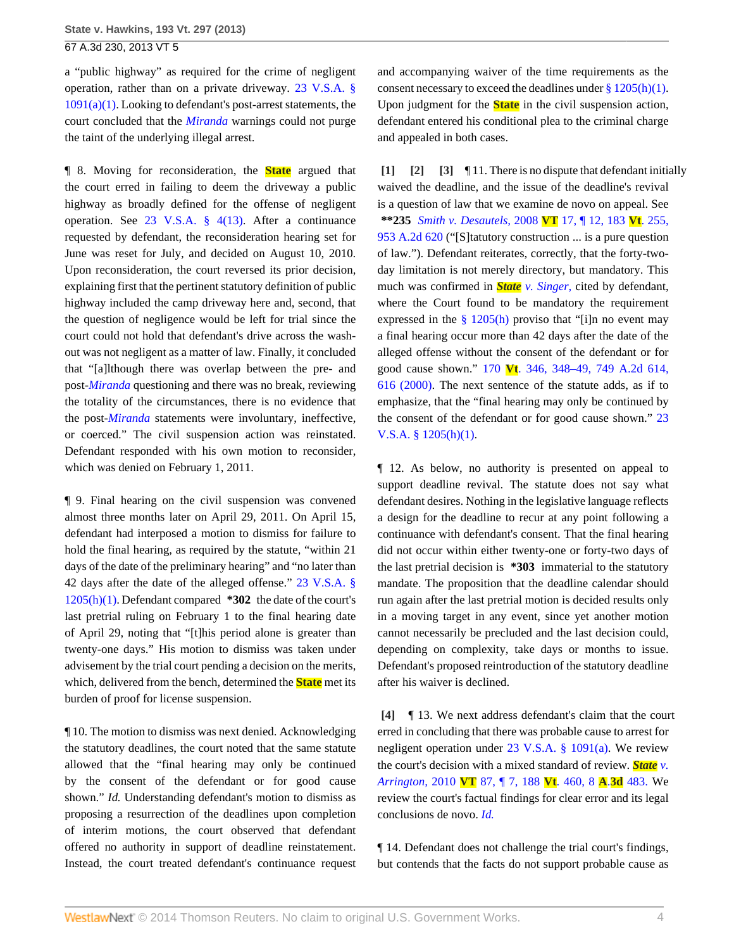a "public highway" as required for the crime of negligent operation, rather than on a private driveway. [23 V.S.A. §](http://www.westlaw.com/Link/Document/FullText?findType=L&pubNum=1000883&cite=VTST23S1091&originatingDoc=I6d233712619211e2900d8cbbe5df030a&refType=SP&originationContext=document&vr=3.0&rs=cblt1.0&transitionType=DocumentItem&contextData=(sc.Search)#co_pp_7b9b000044381)  $1091(a)(1)$ . Looking to defendant's post-arrest statements, the court concluded that the *[Miranda](http://www.westlaw.com/Link/Document/FullText?findType=Y&serNum=1966131580&originationContext=document&vr=3.0&rs=cblt1.0&transitionType=DocumentItem&contextData=(sc.Search))* warnings could not purge the taint of the underlying illegal arrest.

¶ 8. Moving for reconsideration, the **State** argued that the court erred in failing to deem the driveway a public highway as broadly defined for the offense of negligent operation. See [23 V.S.A. § 4\(13\).](http://www.westlaw.com/Link/Document/FullText?findType=L&pubNum=1000883&cite=VTST23S4&originatingDoc=I6d233712619211e2900d8cbbe5df030a&refType=SP&originationContext=document&vr=3.0&rs=cblt1.0&transitionType=DocumentItem&contextData=(sc.Search)#co_pp_aac5000007ec7) After a continuance requested by defendant, the reconsideration hearing set for June was reset for July, and decided on August 10, 2010. Upon reconsideration, the court reversed its prior decision, explaining first that the pertinent statutory definition of public highway included the camp driveway here and, second, that the question of negligence would be left for trial since the court could not hold that defendant's drive across the washout was not negligent as a matter of law. Finally, it concluded that "[a]lthough there was overlap between the pre- and post-*[Miranda](http://www.westlaw.com/Link/Document/FullText?findType=Y&serNum=1966131580&originationContext=document&vr=3.0&rs=cblt1.0&transitionType=DocumentItem&contextData=(sc.Search))* questioning and there was no break, reviewing the totality of the circumstances, there is no evidence that the post-*[Miranda](http://www.westlaw.com/Link/Document/FullText?findType=Y&serNum=1966131580&originationContext=document&vr=3.0&rs=cblt1.0&transitionType=DocumentItem&contextData=(sc.Search))* statements were involuntary, ineffective, or coerced." The civil suspension action was reinstated. Defendant responded with his own motion to reconsider, which was denied on February 1, 2011.

¶ 9. Final hearing on the civil suspension was convened almost three months later on April 29, 2011. On April 15, defendant had interposed a motion to dismiss for failure to hold the final hearing, as required by the statute, "within 21 days of the date of the preliminary hearing" and "no later than 42 days after the date of the alleged offense." [23 V.S.A. §](http://www.westlaw.com/Link/Document/FullText?findType=L&pubNum=1000883&cite=VTST23S1205&originatingDoc=I6d233712619211e2900d8cbbe5df030a&refType=SP&originationContext=document&vr=3.0&rs=cblt1.0&transitionType=DocumentItem&contextData=(sc.Search)#co_pp_b4e500006fdf6) [1205\(h\)\(1\)](http://www.westlaw.com/Link/Document/FullText?findType=L&pubNum=1000883&cite=VTST23S1205&originatingDoc=I6d233712619211e2900d8cbbe5df030a&refType=SP&originationContext=document&vr=3.0&rs=cblt1.0&transitionType=DocumentItem&contextData=(sc.Search)#co_pp_b4e500006fdf6). Defendant compared **\*302** the date of the court's last pretrial ruling on February 1 to the final hearing date of April 29, noting that "[t]his period alone is greater than twenty-one days." His motion to dismiss was taken under advisement by the trial court pending a decision on the merits, which, delivered from the bench, determined the **State** met its burden of proof for license suspension.

¶ 10. The motion to dismiss was next denied. Acknowledging the statutory deadlines, the court noted that the same statute allowed that the "final hearing may only be continued by the consent of the defendant or for good cause shown." *Id.* Understanding defendant's motion to dismiss as proposing a resurrection of the deadlines upon completion of interim motions, the court observed that defendant offered no authority in support of deadline reinstatement. Instead, the court treated defendant's continuance request

and accompanying waiver of the time requirements as the consent necessary to exceed the deadlines under  $\S 1205(h)(1)$ . Upon judgment for the **State** in the civil suspension action, defendant entered his conditional plea to the criminal charge and appealed in both cases.

<span id="page-3-2"></span><span id="page-3-1"></span><span id="page-3-0"></span>**[\[1\]](#page-0-0) [\[2\]](#page-0-1) [\[3](#page-0-2)]** ¶ 11. There is no dispute that defendant initially waived the deadline, and the issue of the deadline's revival is a question of law that we examine de novo on appeal. See **\*\*235** *[Smith v. Desautels,](http://www.westlaw.com/Link/Document/FullText?findType=Y&serNum=2015427543&pubNum=162&originationContext=document&vr=3.0&rs=cblt1.0&transitionType=DocumentItem&contextData=(sc.Search))* 2008 **VT** 17, ¶ 12, 183 **Vt**. 255, [953 A.2d 620](http://www.westlaw.com/Link/Document/FullText?findType=Y&serNum=2015427543&pubNum=162&originationContext=document&vr=3.0&rs=cblt1.0&transitionType=DocumentItem&contextData=(sc.Search)) ("[S]tatutory construction ... is a pure question of law."). Defendant reiterates, correctly, that the forty-twoday limitation is not merely directory, but mandatory. This much was confirmed in *State [v. Singer,](http://www.westlaw.com/Link/Document/FullText?findType=Y&serNum=2000047414&originationContext=document&vr=3.0&rs=cblt1.0&transitionType=DocumentItem&contextData=(sc.Search))* cited by defendant, where the Court found to be mandatory the requirement expressed in the  $\frac{8}{9}$  1205(h) proviso that "[i]n no event may a final hearing occur more than 42 days after the date of the alleged offense without the consent of the defendant or for good cause shown." 170 **Vt**[. 346, 348–49, 749 A.2d 614,](http://www.westlaw.com/Link/Document/FullText?findType=Y&serNum=2000047414&pubNum=162&fi=co_pp_sp_162_616&originationContext=document&vr=3.0&rs=cblt1.0&transitionType=DocumentItem&contextData=(sc.Search)#co_pp_sp_162_616) [616 \(2000\)](http://www.westlaw.com/Link/Document/FullText?findType=Y&serNum=2000047414&pubNum=162&fi=co_pp_sp_162_616&originationContext=document&vr=3.0&rs=cblt1.0&transitionType=DocumentItem&contextData=(sc.Search)#co_pp_sp_162_616). The next sentence of the statute adds, as if to emphasize, that the "final hearing may only be continued by the consent of the defendant or for good cause shown." [23](http://www.westlaw.com/Link/Document/FullText?findType=L&pubNum=1000883&cite=VTST23S1205&originatingDoc=I6d233712619211e2900d8cbbe5df030a&refType=SP&originationContext=document&vr=3.0&rs=cblt1.0&transitionType=DocumentItem&contextData=(sc.Search)#co_pp_b4e500006fdf6) [V.S.A. § 1205\(h\)\(1\).](http://www.westlaw.com/Link/Document/FullText?findType=L&pubNum=1000883&cite=VTST23S1205&originatingDoc=I6d233712619211e2900d8cbbe5df030a&refType=SP&originationContext=document&vr=3.0&rs=cblt1.0&transitionType=DocumentItem&contextData=(sc.Search)#co_pp_b4e500006fdf6)

¶ 12. As below, no authority is presented on appeal to support deadline revival. The statute does not say what defendant desires. Nothing in the legislative language reflects a design for the deadline to recur at any point following a continuance with defendant's consent. That the final hearing did not occur within either twenty-one or forty-two days of the last pretrial decision is **\*303** immaterial to the statutory mandate. The proposition that the deadline calendar should run again after the last pretrial motion is decided results only in a moving target in any event, since yet another motion cannot necessarily be precluded and the last decision could, depending on complexity, take days or months to issue. Defendant's proposed reintroduction of the statutory deadline after his waiver is declined.

<span id="page-3-3"></span>**[\[4\]](#page-0-3)** ¶ 13. We next address defendant's claim that the court erred in concluding that there was probable cause to arrest for negligent operation under [23 V.S.A. § 1091\(a\)](http://www.westlaw.com/Link/Document/FullText?findType=L&pubNum=1000883&cite=VTST23S1091&originatingDoc=I6d233712619211e2900d8cbbe5df030a&refType=SP&originationContext=document&vr=3.0&rs=cblt1.0&transitionType=DocumentItem&contextData=(sc.Search)#co_pp_8b3b0000958a4). We review the court's decision with a mixed standard of review. *[State](http://www.westlaw.com/Link/Document/FullText?findType=Y&serNum=2023213648&pubNum=7691&originationContext=document&vr=3.0&rs=cblt1.0&transitionType=DocumentItem&contextData=(sc.Search)) v. Arrington,* 2010 **VT** [87, ¶ 7, 188](http://www.westlaw.com/Link/Document/FullText?findType=Y&serNum=2023213648&pubNum=7691&originationContext=document&vr=3.0&rs=cblt1.0&transitionType=DocumentItem&contextData=(sc.Search)) **Vt**. 460, 8 **A**.**3d** 483. We review the court's factual findings for clear error and its legal conclusions de novo. *[Id.](http://www.westlaw.com/Link/Document/FullText?findType=Y&serNum=2023213648&originationContext=document&vr=3.0&rs=cblt1.0&transitionType=DocumentItem&contextData=(sc.Search))*

¶ 14. Defendant does not challenge the trial court's findings, but contends that the facts do not support probable cause as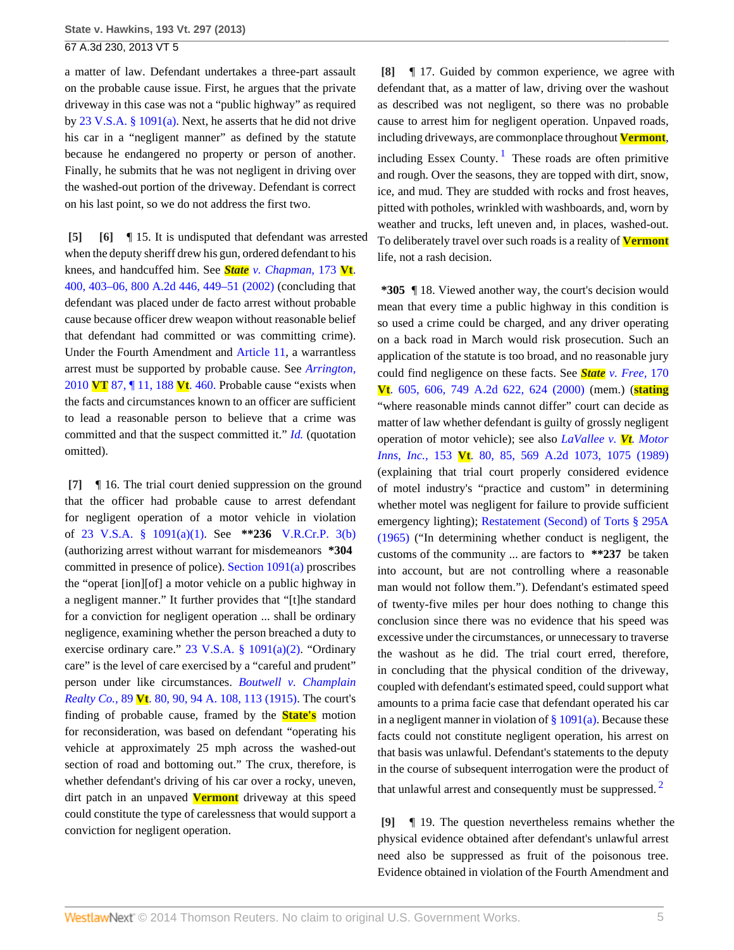a matter of law. Defendant undertakes a three-part assault on the probable cause issue. First, he argues that the private driveway in this case was not a "public highway" as required by [23 V.S.A. § 1091\(a\)](http://www.westlaw.com/Link/Document/FullText?findType=L&pubNum=1000883&cite=VTST23S1091&originatingDoc=I6d233712619211e2900d8cbbe5df030a&refType=SP&originationContext=document&vr=3.0&rs=cblt1.0&transitionType=DocumentItem&contextData=(sc.Search)#co_pp_8b3b0000958a4). Next, he asserts that he did not drive his car in a "negligent manner" as defined by the statute because he endangered no property or person of another. Finally, he submits that he was not negligent in driving over the washed-out portion of the driveway. Defendant is correct on his last point, so we do not address the first two.

<span id="page-4-1"></span><span id="page-4-0"></span>**[\[5\]](#page-0-4) [\[6\]](#page-0-5)** ¶ 15. It is undisputed that defendant was arrested when the deputy sheriff drew his gun, ordered defendant to his knees, and handcuffed him. See *State [v. Chapman,](http://www.westlaw.com/Link/Document/FullText?findType=Y&serNum=2002239279&pubNum=162&fi=co_pp_sp_162_449&originationContext=document&vr=3.0&rs=cblt1.0&transitionType=DocumentItem&contextData=(sc.Search)#co_pp_sp_162_449)* 173 **Vt**. [400, 403–06, 800 A.2d 446, 449–51 \(2002\)](http://www.westlaw.com/Link/Document/FullText?findType=Y&serNum=2002239279&pubNum=162&fi=co_pp_sp_162_449&originationContext=document&vr=3.0&rs=cblt1.0&transitionType=DocumentItem&contextData=(sc.Search)#co_pp_sp_162_449) (concluding that defendant was placed under de facto arrest without probable cause because officer drew weapon without reasonable belief that defendant had committed or was committing crime). Under the Fourth Amendment and [Article 11](http://www.westlaw.com/Link/Document/FullText?findType=L&pubNum=1000883&cite=VTCNCIART11&originatingDoc=I6d233712619211e2900d8cbbe5df030a&refType=LQ&originationContext=document&vr=3.0&rs=cblt1.0&transitionType=DocumentItem&contextData=(sc.Search)), a warrantless arrest must be supported by probable cause. See *[Arrington,](http://www.westlaw.com/Link/Document/FullText?findType=Y&serNum=2023213648&pubNum=6942&originationContext=document&vr=3.0&rs=cblt1.0&transitionType=DocumentItem&contextData=(sc.Search))* 2010 **VT** [87, ¶ 11, 188](http://www.westlaw.com/Link/Document/FullText?findType=Y&serNum=2023213648&pubNum=6942&originationContext=document&vr=3.0&rs=cblt1.0&transitionType=DocumentItem&contextData=(sc.Search)) **Vt**. 460. Probable cause "exists when the facts and circumstances known to an officer are sufficient to lead a reasonable person to believe that a crime was committed and that the suspect committed it." *[Id.](http://www.westlaw.com/Link/Document/FullText?findType=Y&serNum=2023213648&originationContext=document&vr=3.0&rs=cblt1.0&transitionType=DocumentItem&contextData=(sc.Search))* (quotation omitted).

<span id="page-4-2"></span>**[\[7\]](#page-1-1)** ¶ 16. The trial court denied suppression on the ground that the officer had probable cause to arrest defendant for negligent operation of a motor vehicle in violation of [23 V.S.A. § 1091\(a\)\(1\)](http://www.westlaw.com/Link/Document/FullText?findType=L&pubNum=1000883&cite=VTST23S1091&originatingDoc=I6d233712619211e2900d8cbbe5df030a&refType=SP&originationContext=document&vr=3.0&rs=cblt1.0&transitionType=DocumentItem&contextData=(sc.Search)#co_pp_7b9b000044381). See **\*\*236** [V.R.Cr.P. 3\(b\)](http://www.westlaw.com/Link/Document/FullText?findType=L&pubNum=1006374&cite=VTRRCRPR3&originatingDoc=I6d233712619211e2900d8cbbe5df030a&refType=LQ&originationContext=document&vr=3.0&rs=cblt1.0&transitionType=DocumentItem&contextData=(sc.Search)) (authorizing arrest without warrant for misdemeanors **\*304** committed in presence of police). [Section 1091\(a\)](http://www.westlaw.com/Link/Document/FullText?findType=L&pubNum=1000883&cite=VTST23S1091&originatingDoc=I6d233712619211e2900d8cbbe5df030a&refType=SP&originationContext=document&vr=3.0&rs=cblt1.0&transitionType=DocumentItem&contextData=(sc.Search)#co_pp_8b3b0000958a4) proscribes the "operat [ion][of] a motor vehicle on a public highway in a negligent manner." It further provides that "[t]he standard for a conviction for negligent operation ... shall be ordinary negligence, examining whether the person breached a duty to exercise ordinary care." [23 V.S.A. § 1091\(a\)\(2\)](http://www.westlaw.com/Link/Document/FullText?findType=L&pubNum=1000883&cite=VTST23S1091&originatingDoc=I6d233712619211e2900d8cbbe5df030a&refType=SP&originationContext=document&vr=3.0&rs=cblt1.0&transitionType=DocumentItem&contextData=(sc.Search)#co_pp_d86d0000be040). "Ordinary care" is the level of care exercised by a "careful and prudent" person under like circumstances. *[Boutwell v. Champlain](http://www.westlaw.com/Link/Document/FullText?findType=Y&serNum=1915025813&pubNum=161&fi=co_pp_sp_161_113&originationContext=document&vr=3.0&rs=cblt1.0&transitionType=DocumentItem&contextData=(sc.Search)#co_pp_sp_161_113) Realty Co.,* 89 **Vt**[. 80, 90, 94 A. 108, 113 \(1915\).](http://www.westlaw.com/Link/Document/FullText?findType=Y&serNum=1915025813&pubNum=161&fi=co_pp_sp_161_113&originationContext=document&vr=3.0&rs=cblt1.0&transitionType=DocumentItem&contextData=(sc.Search)#co_pp_sp_161_113) The court's finding of probable cause, framed by the **State's** motion for reconsideration, was based on defendant "operating his vehicle at approximately 25 mph across the washed-out section of road and bottoming out." The crux, therefore, is whether defendant's driving of his car over a rocky, uneven, dirt patch in an unpaved **Vermont** driveway at this speed could constitute the type of carelessness that would support a conviction for negligent operation.

<span id="page-4-5"></span><span id="page-4-3"></span>**[\[8\]](#page-1-0)** ¶ 17. Guided by common experience, we agree with defendant that, as a matter of law, driving over the washout as described was not negligent, so there was no probable cause to arrest him for negligent operation. Unpaved roads, including driveways, are commonplace throughout **Vermont**, including Essex County.<sup>[1](#page-5-1)</sup> These roads are often primitive and rough. Over the seasons, they are topped with dirt, snow, ice, and mud. They are studded with rocks and frost heaves, pitted with potholes, wrinkled with washboards, and, worn by weather and trucks, left uneven and, in places, washed-out. To deliberately travel over such roads is a reality of **Vermont** life, not a rash decision.

**\*305** ¶ 18. Viewed another way, the court's decision would mean that every time a public highway in this condition is so used a crime could be charged, and any driver operating on a back road in March would risk prosecution. Such an application of the statute is too broad, and no reasonable jury could find negligence on these facts. See *State [v. Free,](http://www.westlaw.com/Link/Document/FullText?findType=Y&serNum=2000067899&pubNum=162&fi=co_pp_sp_162_624&originationContext=document&vr=3.0&rs=cblt1.0&transitionType=DocumentItem&contextData=(sc.Search)#co_pp_sp_162_624)* 170 **Vt**[. 605, 606, 749 A.2d 622, 624 \(2000\)](http://www.westlaw.com/Link/Document/FullText?findType=Y&serNum=2000067899&pubNum=162&fi=co_pp_sp_162_624&originationContext=document&vr=3.0&rs=cblt1.0&transitionType=DocumentItem&contextData=(sc.Search)#co_pp_sp_162_624) (mem.) (**stating** "where reasonable minds cannot differ" court can decide as matter of law whether defendant is guilty of grossly negligent operation of motor vehicle); see also *[LaVallee v.](http://www.westlaw.com/Link/Document/FullText?findType=Y&serNum=1990032917&pubNum=162&fi=co_pp_sp_162_1075&originationContext=document&vr=3.0&rs=cblt1.0&transitionType=DocumentItem&contextData=(sc.Search)#co_pp_sp_162_1075) Vt. Motor Inns, Inc.,* 153 **Vt**[. 80, 85, 569 A.2d 1073, 1075 \(1989\)](http://www.westlaw.com/Link/Document/FullText?findType=Y&serNum=1990032917&pubNum=162&fi=co_pp_sp_162_1075&originationContext=document&vr=3.0&rs=cblt1.0&transitionType=DocumentItem&contextData=(sc.Search)#co_pp_sp_162_1075) (explaining that trial court properly considered evidence of motel industry's "practice and custom" in determining whether motel was negligent for failure to provide sufficient emergency lighting); [Restatement \(Second\) of Torts § 295A](http://www.westlaw.com/Link/Document/FullText?findType=Y&serNum=0290694023&pubNum=0101577&originationContext=document&vr=3.0&rs=cblt1.0&transitionType=DocumentItem&contextData=(sc.Search)) [\(1965\)](http://www.westlaw.com/Link/Document/FullText?findType=Y&serNum=0290694023&pubNum=0101577&originationContext=document&vr=3.0&rs=cblt1.0&transitionType=DocumentItem&contextData=(sc.Search)) ("In determining whether conduct is negligent, the customs of the community ... are factors to **\*\*237** be taken into account, but are not controlling where a reasonable man would not follow them."). Defendant's estimated speed of twenty-five miles per hour does nothing to change this conclusion since there was no evidence that his speed was excessive under the circumstances, or unnecessary to traverse the washout as he did. The trial court erred, therefore, in concluding that the physical condition of the driveway, coupled with defendant's estimated speed, could support what amounts to a prima facie case that defendant operated his car in a negligent manner in violation of  $\S 1091(a)$ . Because these facts could not constitute negligent operation, his arrest on that basis was unlawful. Defendant's statements to the deputy in the course of subsequent interrogation were the product of that unlawful arrest and consequently must be suppressed.  $2^{\circ}$  $2^{\circ}$ 

<span id="page-4-6"></span><span id="page-4-4"></span>**[\[9\]](#page-1-2)** ¶ 19. The question nevertheless remains whether the physical evidence obtained after defendant's unlawful arrest need also be suppressed as fruit of the poisonous tree. Evidence obtained in violation of the Fourth Amendment and